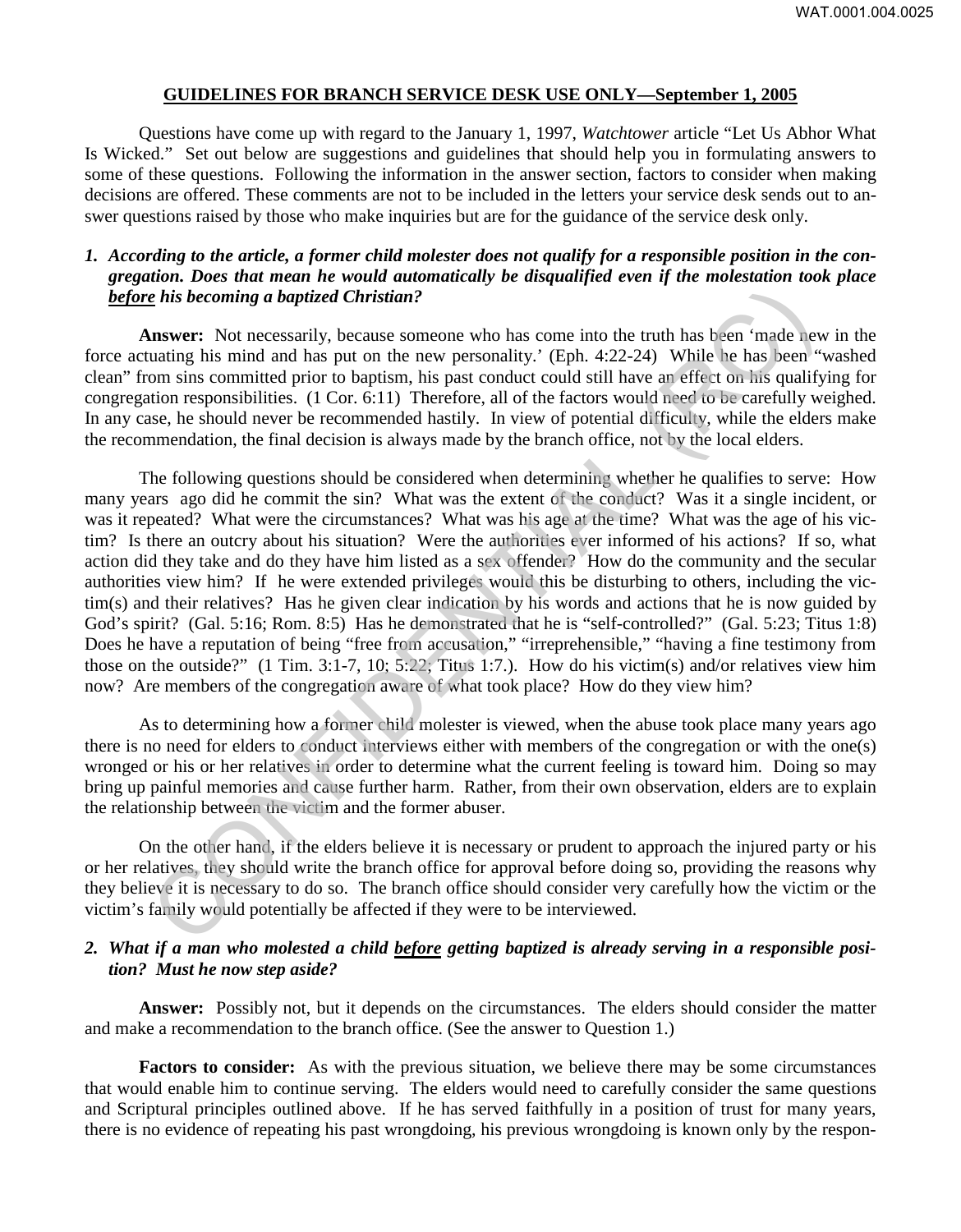#### **GUIDELINES FOR BRANCH SERVICE DESK USE ONLY—September 1, 2005**

Questions have come up with regard to the January 1, 1997, *Watchtower* article "Let Us Abhor What Is Wicked." Set out below are suggestions and guidelines that should help you in formulating answers to some of these questions. Following the information in the answer section, factors to consider when making decisions are offered. These comments are not to be included in the letters your service desk sends out to answer questions raised by those who make inquiries but are for the guidance of the service desk only.

# *1. According to the article, a former child molester does not qualify for a responsible position in the congregation. Does that mean he would automatically be disqualified even if the molestation took place before his becoming a baptized Christian?*

**Answer:** Not necessarily, because someone who has come into the truth has been 'made new in the force actuating his mind and has put on the new personality.' (Eph. 4:22-24) While he has been "washed clean" from sins committed prior to baptism, his past conduct could still have an effect on his qualifying for congregation responsibilities. (1 Cor. 6:11) Therefore, all of the factors would need to be carefully weighed. In any case, he should never be recommended hastily. In view of potential difficulty, while the elders make the recommendation, the final decision is always made by the branch office, not by the local elders.

The following questions should be considered when determining whether he qualifies to serve: How many years ago did he commit the sin? What was the extent of the conduct? Was it a single incident, or was it repeated? What were the circumstances? What was his age at the time? What was the age of his victim? Is there an outcry about his situation? Were the authorities ever informed of his actions? If so, what action did they take and do they have him listed as a sex offender? How do the community and the secular authorities view him? If he were extended privileges would this be disturbing to others, including the victim(s) and their relatives? Has he given clear indication by his words and actions that he is now guided by God's spirit? (Gal. 5:16; Rom. 8:5) Has he demonstrated that he is "self-controlled?" (Gal. 5:23; Titus 1:8) Does he have a reputation of being "free from accusation," "irreprehensible," "having a fine testimony from those on the outside?" (1 Tim. 3:1-7, 10; 5:22; Titus 1:7.). How do his victim(s) and/or relatives view him now? Are members of the congregation aware of what took place? How do they view him? **E** his becoming a baptized Christian?<br> **Inswer:** Not necessarily, because someone who has come into the truth has been 'made neem-<br>
uating his mind and has put on the new personality. (Eph. 4:22-24) While he has been "<br>

As to determining how a former child molester is viewed, when the abuse took place many years ago there is no need for elders to conduct interviews either with members of the congregation or with the one(s) wronged or his or her relatives in order to determine what the current feeling is toward him. Doing so may bring up painful memories and cause further harm. Rather, from their own observation, elders are to explain the relationship between the victim and the former abuser.

On the other hand, if the elders believe it is necessary or prudent to approach the injured party or his or her relatives, they should write the branch office for approval before doing so, providing the reasons why they believe it is necessary to do so. The branch office should consider very carefully how the victim or the victim's family would potentially be affected if they were to be interviewed.

### *2. What if a man who molested a child before getting baptized is already serving in a responsible position? Must he now step aside?*

**Answer:** Possibly not, but it depends on the circumstances. The elders should consider the matter and make a recommendation to the branch office. (See the answer to Question 1.)

**Factors to consider:** As with the previous situation, we believe there may be some circumstances that would enable him to continue serving. The elders would need to carefully consider the same questions and Scriptural principles outlined above. If he has served faithfully in a position of trust for many years, there is no evidence of repeating his past wrongdoing, his previous wrongdoing is known only by the respon-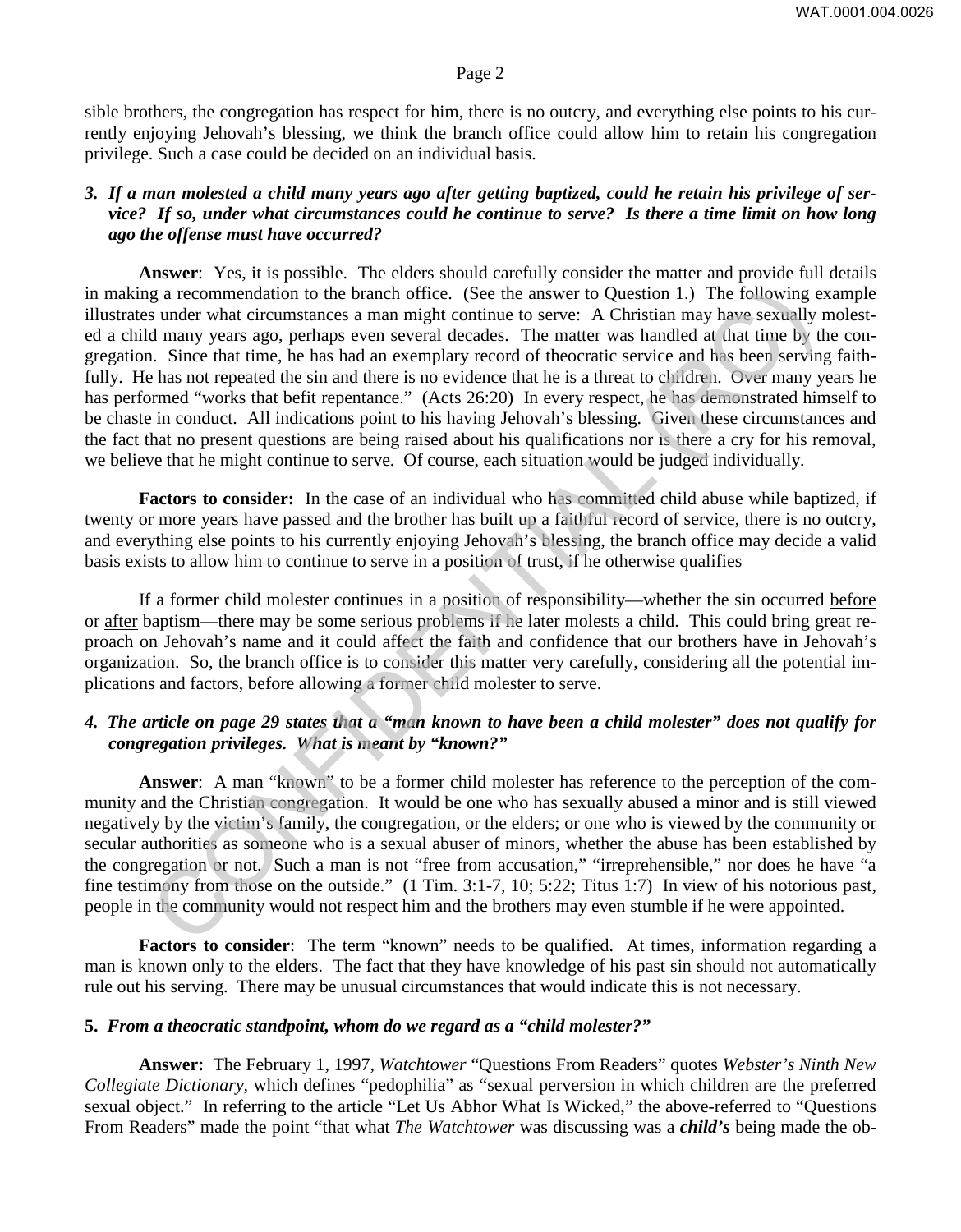sible brothers, the congregation has respect for him, there is no outcry, and everything else points to his currently enjoying Jehovah's blessing, we think the branch office could allow him to retain his congregation privilege. Such a case could be decided on an individual basis.

# *3. If a man molested a child many years ago after getting baptized, could he retain his privilege of service? If so, under what circumstances could he continue to serve? Is there a time limit on how long ago the offense must have occurred?*

**Answer**: Yes, it is possible. The elders should carefully consider the matter and provide full details in making a recommendation to the branch office. (See the answer to Question 1.) The following example illustrates under what circumstances a man might continue to serve: A Christian may have sexually molested a child many years ago, perhaps even several decades. The matter was handled at that time by the congregation. Since that time, he has had an exemplary record of theocratic service and has been serving faithfully. He has not repeated the sin and there is no evidence that he is a threat to children. Over many years he has performed "works that befit repentance." (Acts 26:20) In every respect, he has demonstrated himself to be chaste in conduct. All indications point to his having Jehovah's blessing. Given these circumstances and the fact that no present questions are being raised about his qualifications nor is there a cry for his removal, we believe that he might continue to serve. Of course, each situation would be judged individually. g a recommendation to the branch office. (See the answer to Question 1.) The following es under what circumstances a man might conium to serve: A Christian many have sexually point of the heast had a recent that the be th

**Factors to consider:** In the case of an individual who has committed child abuse while baptized, if twenty or more years have passed and the brother has built up a faithful record of service, there is no outcry, and everything else points to his currently enjoying Jehovah's blessing, the branch office may decide a valid basis exists to allow him to continue to serve in a position of trust, if he otherwise qualifies

If a former child molester continues in a position of responsibility—whether the sin occurred before or after baptism—there may be some serious problems if he later molests a child. This could bring great reproach on Jehovah's name and it could affect the faith and confidence that our brothers have in Jehovah's organization. So, the branch office is to consider this matter very carefully, considering all the potential implications and factors, before allowing a former child molester to serve.

# *4. The article on page 29 states that a "man known to have been a child molester" does not qualify for congregation privileges. What is meant by "known?"*

**Answer**: A man "known" to be a former child molester has reference to the perception of the community and the Christian congregation. It would be one who has sexually abused a minor and is still viewed negatively by the victim's family, the congregation, or the elders; or one who is viewed by the community or secular authorities as someone who is a sexual abuser of minors, whether the abuse has been established by the congregation or not. Such a man is not "free from accusation," "irreprehensible," nor does he have "a fine testimony from those on the outside." (1 Tim. 3:1-7, 10; 5:22; Titus 1:7) In view of his notorious past, people in the community would not respect him and the brothers may even stumble if he were appointed.

**Factors to consider**: The term "known" needs to be qualified. At times, information regarding a man is known only to the elders. The fact that they have knowledge of his past sin should not automatically rule out his serving. There may be unusual circumstances that would indicate this is not necessary.

#### **5.** *From a theocratic standpoint, whom do we regard as a "child molester?"*

**Answer:** The February 1, 1997, *Watchtower* "Questions From Readers" quotes *Webster's Ninth New Collegiate Dictionary,* which defines "pedophilia" as "sexual perversion in which children are the preferred sexual object." In referring to the article "Let Us Abhor What Is Wicked," the above-referred to "Questions From Readers" made the point "that what *The Watchtower* was discussing was a *child's* being made the ob-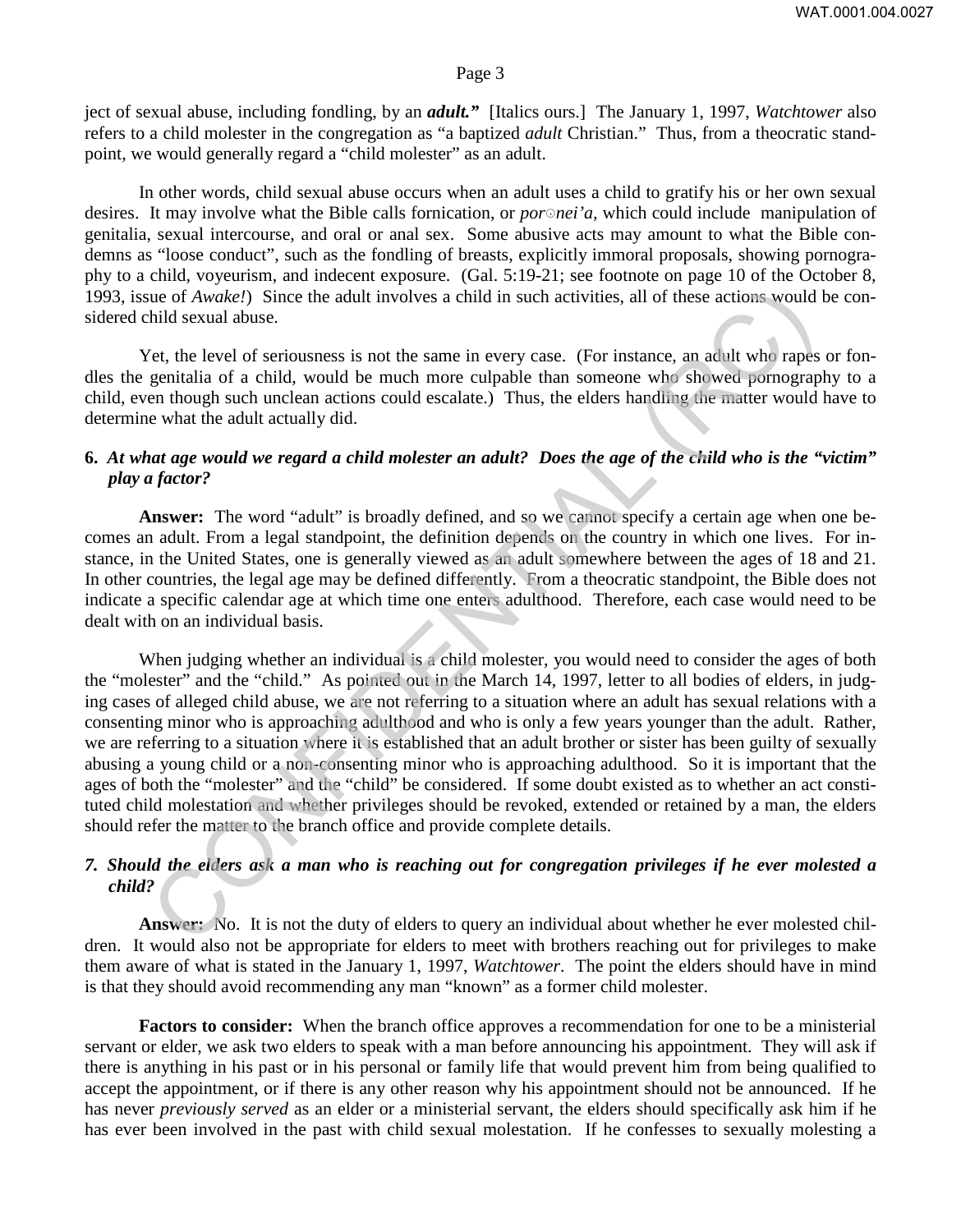ject of sexual abuse, including fondling, by an *adult."* [Italics ours.] The January 1, 1997, *Watchtower* also refers to a child molester in the congregation as "a baptized *adult* Christian." Thus, from a theocratic standpoint, we would generally regard a "child molester" as an adult.

In other words, child sexual abuse occurs when an adult uses a child to gratify his or her own sexual desires. It may involve what the Bible calls fornication, or *por∘ nei'a*, which could include manipulation of genitalia, sexual intercourse, and oral or anal sex. Some abusive acts may amount to what the Bible condemns as "loose conduct", such as the fondling of breasts, explicitly immoral proposals, showing pornography to a child, voyeurism, and indecent exposure. (Gal. 5:19-21; see footnote on page 10 of the October 8, 1993, issue of *Awake!*)Since the adult involves a child in such activities, all of these actions would be considered child sexual abuse.

Yet, the level of seriousness is not the same in every case. (For instance, an adult who rapes or fondles the genitalia of a child, would be much more culpable than someone who showed pornography to a child, even though such unclean actions could escalate.) Thus, the elders handling the matter would have to determine what the adult actually did.

# **6.** *At what age would we regard a child molester an adult? Does the age of the child who is the "victim" play a factor?*

**Answer:** The word "adult" is broadly defined, and so we cannot specify a certain age when one becomes an adult. From a legal standpoint, the definition depends on the country in which one lives. For instance, in the United States, one is generally viewed as an adult somewhere between the ages of 18 and 21. In other countries, the legal age may be defined differently. From a theocratic standpoint, the Bible does not indicate a specific calendar age at which time one enters adulthood. Therefore, each case would need to be dealt with on an individual basis.

When judging whether an individual is a child molester, you would need to consider the ages of both the "molester" and the "child." As pointed out in the March 14, 1997, letter to all bodies of elders, in judging cases of alleged child abuse, we are not referring to a situation where an adult has sexual relations with a consenting minor who is approaching adulthood and who is only a few years younger than the adult. Rather, we are referring to a situation where it is established that an adult brother or sister has been guilty of sexually abusing a young child or a non-consenting minor who is approaching adulthood. So it is important that the ages of both the "molester" and the "child" be considered. If some doubt existed as to whether an act constituted child molestation and whether privileges should be revoked, extended or retained by a man, the elders should refer the matter to the branch office and provide complete details. the of Awake!) Since the adult involves a child in such activities, all of these actions would<br>hild sexual abuse.<br>
Tert the bevel of seriousness is not the same in every case. (For instance, an adult who rapes<br>
genitalia

# *7. Should the elders ask a man who is reaching out for congregation privileges if he ever molested a child?*

**Answer:** No. It is not the duty of elders to query an individual about whether he ever molested children. It would also not be appropriate for elders to meet with brothers reaching out for privileges to make them aware of what is stated in the January 1, 1997, *Watchtower*. The point the elders should have in mind is that they should avoid recommending any man "known" as a former child molester.

**Factors to consider:** When the branch office approves a recommendation for one to be a ministerial servant or elder, we ask two elders to speak with a man before announcing his appointment. They will ask if there is anything in his past or in his personal or family life that would prevent him from being qualified to accept the appointment, or if there is any other reason why his appointment should not be announced. If he has never *previously served* as an elder or a ministerial servant, the elders should specifically ask him if he has ever been involved in the past with child sexual molestation. If he confesses to sexually molesting a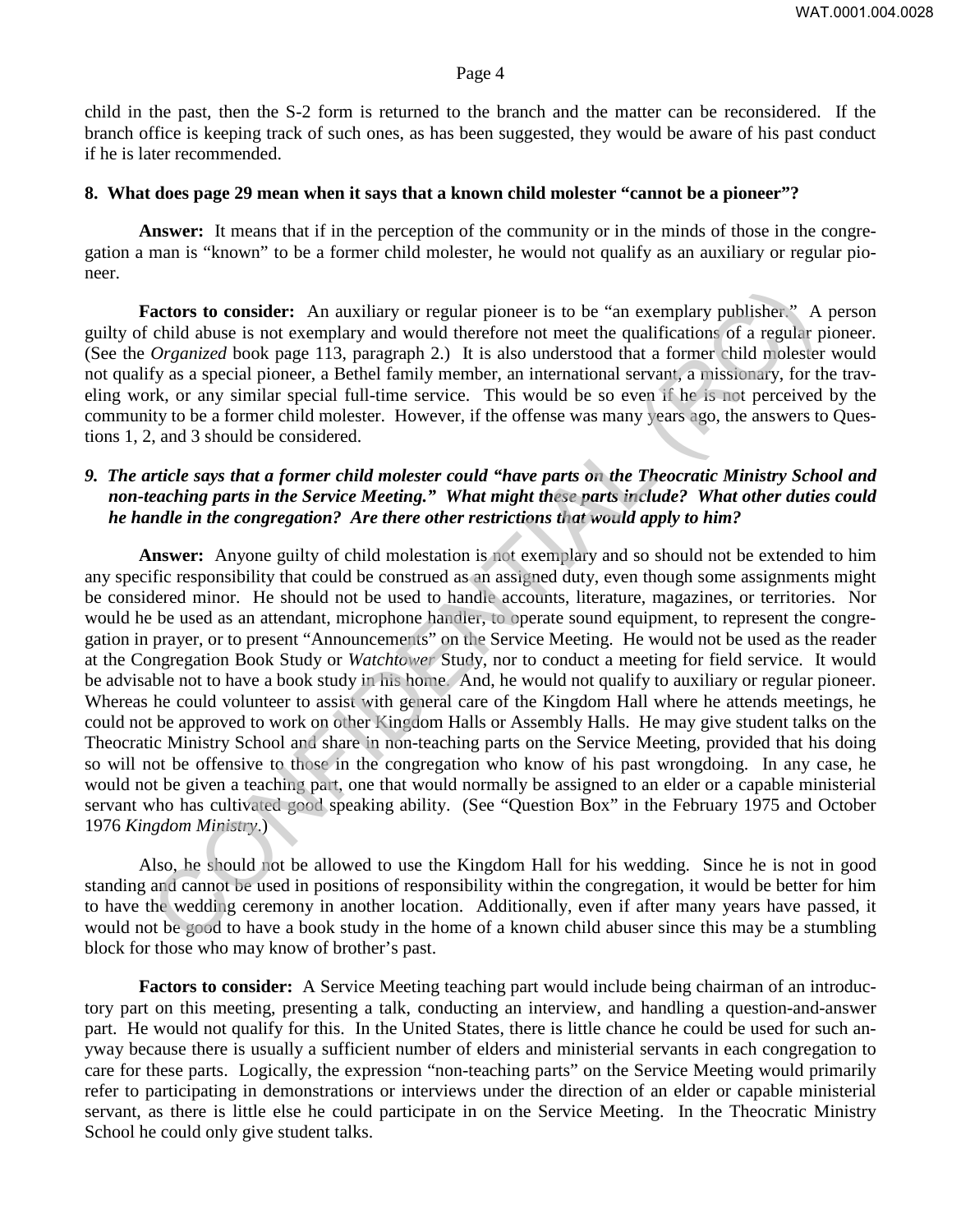child in the past, then the S-2 form is returned to the branch and the matter can be reconsidered. If the branch office is keeping track of such ones, as has been suggested, they would be aware of his past conduct if he is later recommended.

#### **8. What does page 29 mean when it says that a known child molester "cannot be a pioneer"?**

**Answer:** It means that if in the perception of the community or in the minds of those in the congregation a man is "known" to be a former child molester, he would not qualify as an auxiliary or regular pioneer.

**Factors to consider:** An auxiliary or regular pioneer is to be "an exemplary publisher." A person guilty of child abuse is not exemplary and would therefore not meet the qualifications of a regular pioneer. (See the *Organized* book page 113, paragraph 2.) It is also understood that a former child molester would not qualify as a special pioneer, a Bethel family member, an international servant, a missionary, for the traveling work, or any similar special full-time service. This would be so even if he is not perceived by the community to be a former child molester. However, if the offense was many years ago, the answers to Questions 1, 2, and 3 should be considered.

## *9. The article says that a former child molester could "have parts on the Theocratic Ministry School and non-teaching parts in the Service Meeting." What might these parts include? What other duties could he handle in the congregation? Are there other restrictions that would apply to him?*

**Answer:** Anyone guilty of child molestation is not exemplary and so should not be extended to him any specific responsibility that could be construed as an assigned duty, even though some assignments might be considered minor. He should not be used to handle accounts, literature, magazines, or territories. Nor would he be used as an attendant, microphone handler, to operate sound equipment, to represent the congregation in prayer, or to present "Announcements" on the Service Meeting. He would not be used as the reader at the Congregation Book Study or *Watchtower* Study, nor to conduct a meeting for field service. It would be advisable not to have a book study in his home. And, he would not qualify to auxiliary or regular pioneer. Whereas he could volunteer to assist with general care of the Kingdom Hall where he attends meetings, he could not be approved to work on other Kingdom Halls or Assembly Halls. He may give student talks on the Theocratic Ministry School and share in non-teaching parts on the Service Meeting, provided that his doing so will not be offensive to those in the congregation who know of his past wrongdoing. In any case, he would not be given a teaching part, one that would normally be assigned to an elder or a capable ministerial servant who has cultivated good speaking ability. (See "Question Box" in the February 1975 and October 1976 *Kingdom Ministry*.) actors to consider: An auxiliary or regular pioneer is to be "an exemplary publisher." A child abuse is not exemplary and would therefore not meet the qualification of a regular  $Or_{R}$  antext book page 113, paragraph 2.)

Also, he should not be allowed to use the Kingdom Hall for his wedding. Since he is not in good standing and cannot be used in positions of responsibility within the congregation, it would be better for him to have the wedding ceremony in another location. Additionally, even if after many years have passed, it would not be good to have a book study in the home of a known child abuser since this may be a stumbling block for those who may know of brother's past.

**Factors to consider:** A Service Meeting teaching part would include being chairman of an introductory part on this meeting, presenting a talk, conducting an interview, and handling a question-and-answer part. He would not qualify for this. In the United States, there is little chance he could be used for such anyway because there is usually a sufficient number of elders and ministerial servants in each congregation to care for these parts. Logically, the expression "non-teaching parts" on the Service Meeting would primarily refer to participating in demonstrations or interviews under the direction of an elder or capable ministerial servant, as there is little else he could participate in on the Service Meeting. In the Theocratic Ministry School he could only give student talks.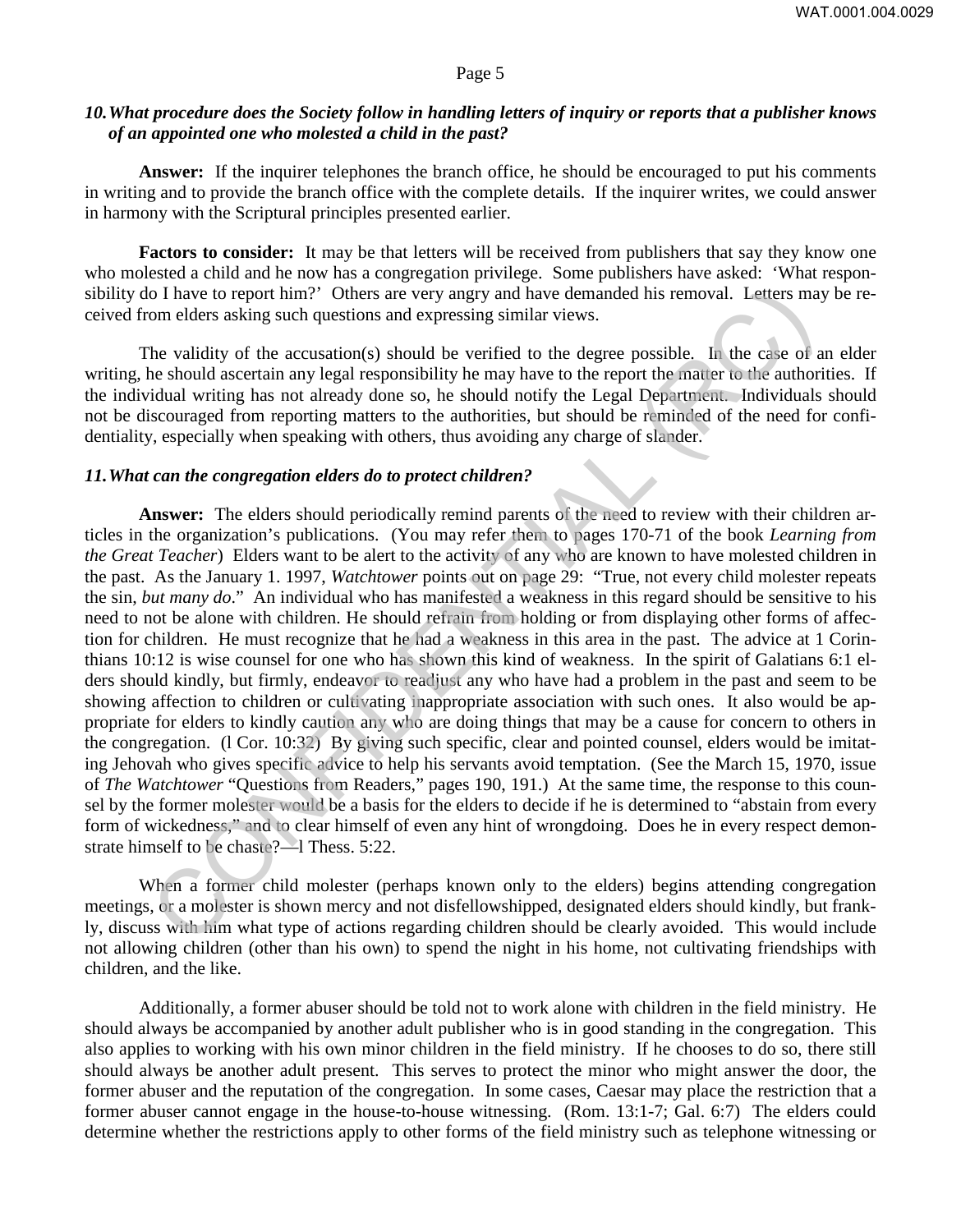# *10. What procedure does the Society follow in handling letters of inquiry or reports that a publisher knows of an appointed one who molested a child in the past?*

**Answer:** If the inquirer telephones the branch office, he should be encouraged to put his comments in writing and to provide the branch office with the complete details. If the inquirer writes, we could answer in harmony with the Scriptural principles presented earlier.

**Factors to consider:** It may be that letters will be received from publishers that say they know one who molested a child and he now has a congregation privilege. Some publishers have asked: 'What responsibility do I have to report him?' Others are very angry and have demanded his removal. Letters may be received from elders asking such questions and expressing similar views.

The validity of the accusation(s) should be verified to the degree possible. In the case of an elder writing, he should ascertain any legal responsibility he may have to the report the matter to the authorities. If the individual writing has not already done so, he should notify the Legal Department. Individuals should not be discouraged from reporting matters to the authorities, but should be reminded of the need for confidentiality, especially when speaking with others, thus avoiding any charge of slander.

#### *11. What can the congregation elders do to protect children?*

**Answer:** The elders should periodically remind parents of the need to review with their children articles in the organization's publications. (You may refer them to pages 170-71 of the book *Learning from the Great Teacher*) Elders want to be alert to the activity of any who are known to have molested children in the past. As the January 1. 1997, *Watchtower* points out on page 29: "True, not every child molester repeats the sin, *but many do*." An individual who has manifested a weakness in this regard should be sensitive to his need to not be alone with children. He should refrain from holding or from displaying other forms of affection for children. He must recognize that he had a weakness in this area in the past. The advice at 1 Corinthians 10:12 is wise counsel for one who has shown this kind of weakness. In the spirit of Galatians 6:1 elders should kindly, but firmly, endeavor to readjust any who have had a problem in the past and seem to be showing affection to children or cultivating inappropriate association with such ones. It also would be appropriate for elders to kindly caution any who are doing things that may be a cause for concern to others in the congregation. (l Cor. 10:32) By giving such specific, clear and pointed counsel, elders would be imitating Jehovah who gives specific advice to help his servants avoid temptation. (See the March 15, 1970, issue of *The Watchtower* "Questions from Readers," pages 190, 191.) At the same time, the response to this counsel by the former molester would be a basis for the elders to decide if he is determined to "abstain from every form of wickedness," and to clear himself of even any hint of wrongdoing. Does he in every respect demonstrate himself to be chaste?—l Thess. 5:22. o I have to report him?" Others are very angry and have demanded his removal. Letters may<br>on elders asking such questions and expressing similar views.<br>The reality of the accusation(s) should be verified to the eigencompo

When a former child molester (perhaps known only to the elders) begins attending congregation meetings, or a molester is shown mercy and not disfellowshipped, designated elders should kindly, but frankly, discuss with him what type of actions regarding children should be clearly avoided. This would include not allowing children (other than his own) to spend the night in his home, not cultivating friendships with children, and the like.

Additionally, a former abuser should be told not to work alone with children in the field ministry. He should always be accompanied by another adult publisher who is in good standing in the congregation. This also applies to working with his own minor children in the field ministry. If he chooses to do so, there still should always be another adult present. This serves to protect the minor who might answer the door, the former abuser and the reputation of the congregation. In some cases, Caesar may place the restriction that a former abuser cannot engage in the house-to-house witnessing. (Rom. 13:1-7; Gal. 6:7) The elders could determine whether the restrictions apply to other forms of the field ministry such as telephone witnessing or